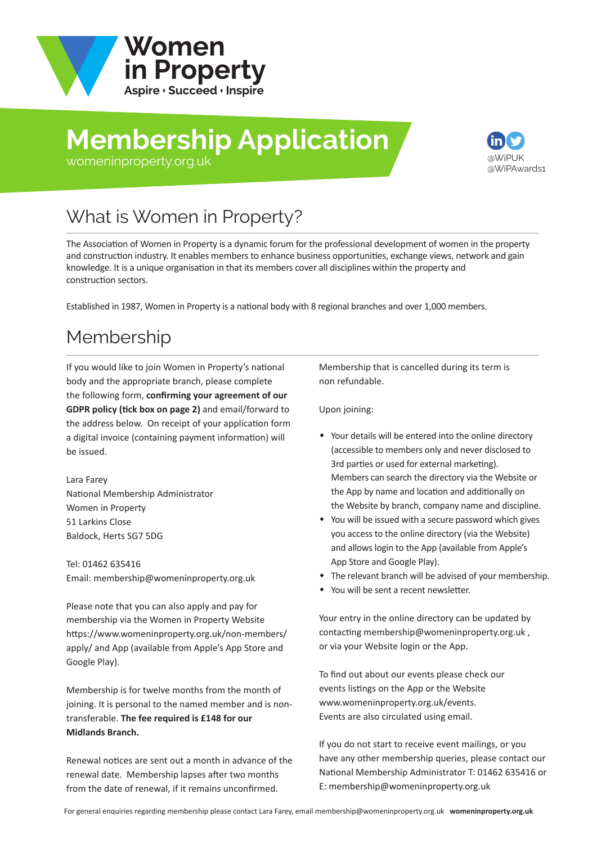

# **Membership Application**



#### [womeninproperty.org.uk](www.womeninproperty.org.uk)

# What is Women in Property?

The Association of Women in Property is a dynamic forum for the professional development of women in the property and construction industry. It enables members to enhance business opportunities, exchange views, network and gain knowledge. It is a unique organisation in that its members cover all disciplines within the property and construction sectors.

Established in 1987, Women in Property is a national body with 8 regional branches and over 1,000 members.

## Membership

If you would like to join Women in Property's national body and the appropriate branch, please complete the following form, **confirming your agreement of our GDPR policy (tick box on page 2)** and email/forward to the address below. On receipt of your application form a digital invoice (containing payment information) will be issued.

Lara Farey National Membership Administrator Women in Property 51 Larkins Close Baldock, Herts SG7 5DG

Tel: 01462 635416 Email: membership@womeninproperty.org.uk

Please note that you can also apply and pay for membership via the Women in Property Website [https://www.womeninproperty.org.uk/non-members](www.womeninproperty.org.uk/non-members/apply.aspx)/ apply/ and App (available from Apple's App Store and Google Play).

Membership is for twelve months from the month of joining. It is personal to the named member and is nontransferable. **The fee required is £148 for our Midlands Branch.**

Renewal notices are sent out a month in advance of the renewal date. Membership lapses after two months from the date of renewal, if it remains unconfirmed.

Membership that is cancelled during its term is non refundable.

Upon joining:

- Your details will be entered into the online directory (accessible to members only and never disclosed to 3rd parties or used for external marketing). Members can search the directory via the Website or the App by name and location and additionally on the Website by branch, company name and discipline.
- You will be issued with a secure password which gives you access to the online directory (via the Website) and allows login to the App (available from Apple's App Store and Google Play).
- The relevant branch will be advised of your membership.
- You will be sent a recent newsletter.

Your entry in the online directory can be updated by contacting membership@womeninproperty.org.uk , or via your Website login or the App.

To find out about our events please check our events listings on the App or the Website www.womeninproperty.org.uk/events. Events are also circulated using email.

If you do not start to receive event mailings, or you have any other membership queries, please contact our National Membership Adminis[trator T: 01462 635416 or](www.womeninproperty.org.uk)  E: membership@womeninproperty.org.uk